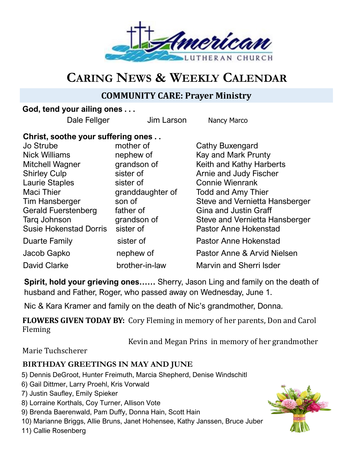

# **CARING NEWS & WEEKLY CALENDAR**

## **COMMUNITY CARE: Prayer Ministry**

## **God, tend your ailing ones . . .**

Dale Fellger **Jim Larson** Nancy Marco

## **Christ, soothe your suffering ones . .**

| Jo Strube                     | mother of        | Cathy Buxengard                |
|-------------------------------|------------------|--------------------------------|
| <b>Nick Williams</b>          | nephew of        | Kay and Mark Prunty            |
| Mitchell Wagner               | grandson of      | Keith and Kathy Harberts       |
| <b>Shirley Culp</b>           | sister of        | Arnie and Judy Fischer         |
| <b>Laurie Staples</b>         | sister of        | <b>Connie Wienrank</b>         |
| <b>Maci Thier</b>             | granddaughter of | <b>Todd and Amy Thier</b>      |
| Tim Hansberger                | son of           | Steve and Vernietta Hansberger |
| <b>Gerald Fuerstenberg</b>    | father of        | <b>Gina and Justin Graff</b>   |
| Tarq Johnson                  | grandson of      | Steve and Vernietta Hansberger |
| <b>Susie Hokenstad Dorris</b> | sister of        | <b>Pastor Anne Hokenstad</b>   |
| Duarte Family                 | sister of        | <b>Pastor Anne Hokenstad</b>   |
| Jacob Gapko                   | nephew of        | Pastor Anne & Arvid Nielsen    |
| <b>David Clarke</b>           | brother-in-law   | Marvin and Sherri Isder        |

**Spirit, hold your grieving ones……** Sherry, Jason Ling and family on the death of husband and Father, Roger, who passed away on Wednesday, June 1.

Nic & Kara Kramer and family on the death of Nic's grandmother, Donna.

**FLOWERS GIVEN TODAY BY:** Cory Fleming in memory of her parents, Don and Carol Fleming

Kevin and Megan Prins in memory of her grandmother

Marie Tuchscherer

## **BIRTHDAY GREETINGS IN MAY AND JUNE**

- 5) Dennis DeGroot, Hunter Freimuth, Marcia Shepherd, Denise Windschitl
- 6) Gail Dittmer, Larry Proehl, Kris Vorwald
- 7) Justin Saufley, Emily Spieker
- 8) Lorraine Korthals, Coy Turner, Allison Vote
- 9) Brenda Baerenwald, Pam Duffy, Donna Hain, Scott Hain
- 10) Marianne Briggs, Allie Bruns, Janet Hohensee, Kathy Janssen, Bruce Juber

11) Callie Rosenberg